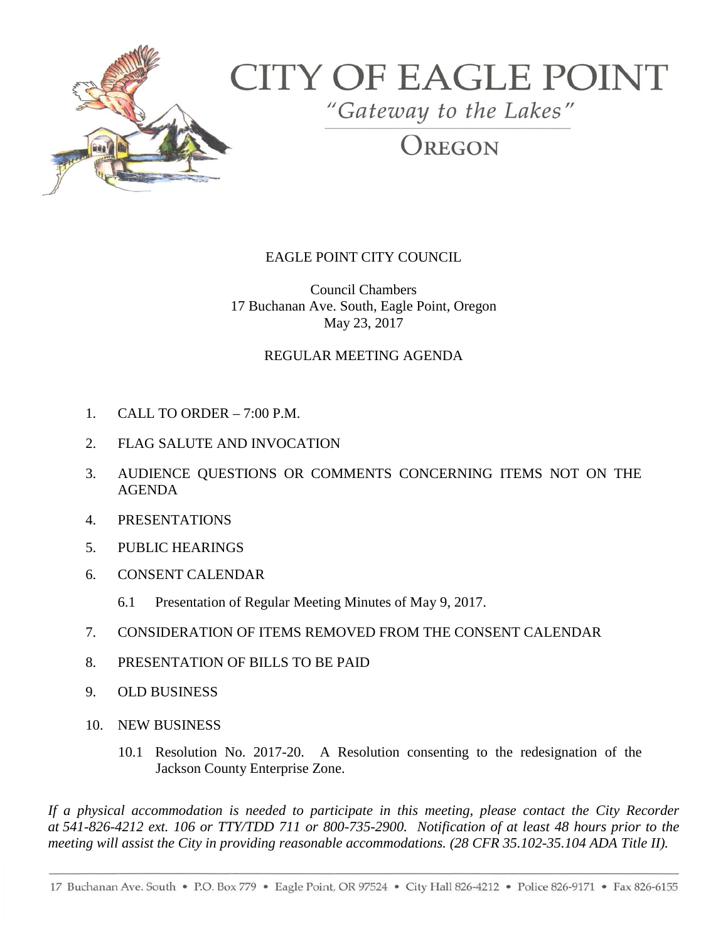

# **CITY OF EAGLE POINT**

"Gateway to the Lakes"

OREGON

## EAGLE POINT CITY COUNCIL

Council Chambers 17 Buchanan Ave. South, Eagle Point, Oregon May 23, 2017

#### REGULAR MEETING AGENDA

- 1. CALL TO ORDER 7:00 P.M.
- 2. FLAG SALUTE AND INVOCATION
- 3. AUDIENCE QUESTIONS OR COMMENTS CONCERNING ITEMS NOT ON THE AGENDA
- 4. PRESENTATIONS
- 5. PUBLIC HEARINGS
- 6. CONSENT CALENDAR
	- 6.1 Presentation of Regular Meeting Minutes of May 9, 2017.
- 7. CONSIDERATION OF ITEMS REMOVED FROM THE CONSENT CALENDAR
- 8. PRESENTATION OF BILLS TO BE PAID
- 9. OLD BUSINESS
- 10. NEW BUSINESS
	- 10.1 Resolution No. 2017-20. A Resolution consenting to the redesignation of the Jackson County Enterprise Zone.

*If a physical accommodation is needed to participate in this meeting, please contact the City Recorder at 541-826-4212 ext. 106 or TTY/TDD 711 or 800-735-2900. Notification of at least 48 hours prior to the meeting will assist the City in providing reasonable accommodations. (28 CFR 35.102-35.104 ADA Title II).*